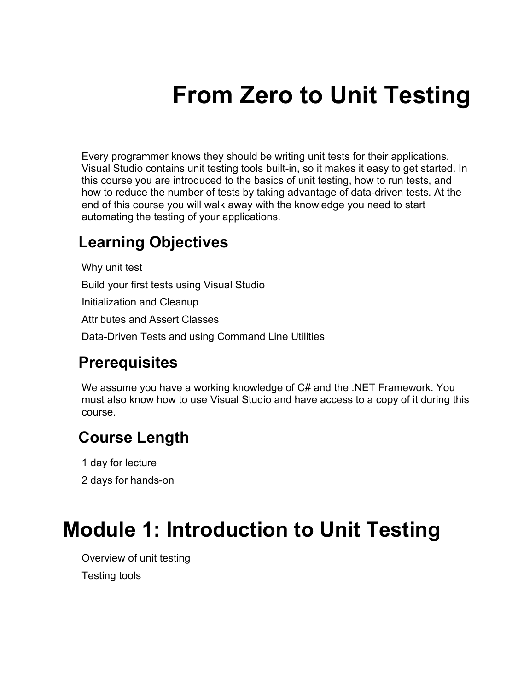# **From Zero to Unit Testing**

Every programmer knows they should be writing unit tests for their applications. Visual Studio contains unit testing tools built-in, so it makes it easy to get started. In this course you are introduced to the basics of unit testing, how to run tests, and how to reduce the number of tests by taking advantage of data-driven tests. At the end of this course you will walk away with the knowledge you need to start automating the testing of your applications.

#### **Learning Objectives**

Why unit test Build your first tests using Visual Studio Initialization and Cleanup Attributes and Assert Classes Data-Driven Tests and using Command Line Utilities

#### **Prerequisites**

We assume you have a working knowledge of C# and the .NET Framework. You must also know how to use Visual Studio and have access to a copy of it during this course.

#### **Course Length**

1 day for lecture

2 days for hands-on

#### **Module 1: Introduction to Unit Testing**

Overview of unit testing Testing tools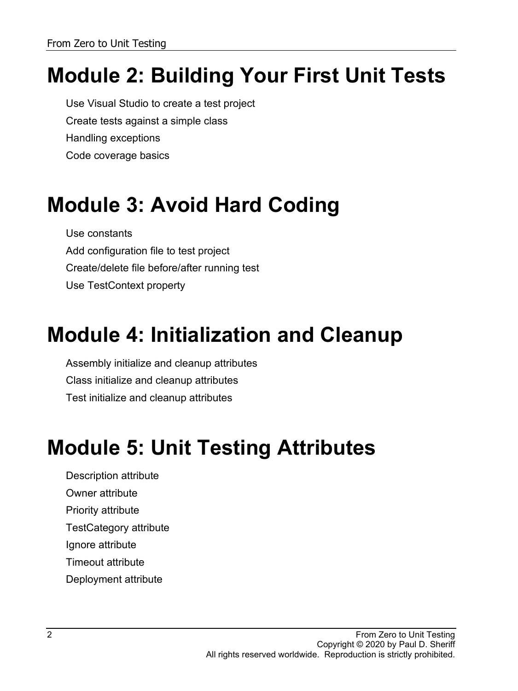## **Module 2: Building Your First Unit Tests**

Use Visual Studio to create a test project Create tests against a simple class Handling exceptions Code coverage basics

### **Module 3: Avoid Hard Coding**

Use constants Add configuration file to test project Create/delete file before/after running test Use TestContext property

### **Module 4: Initialization and Cleanup**

Assembly initialize and cleanup attributes Class initialize and cleanup attributes Test initialize and cleanup attributes

#### **Module 5: Unit Testing Attributes**

Description attribute

Owner attribute

Priority attribute

TestCategory attribute

Ignore attribute

Timeout attribute

Deployment attribute